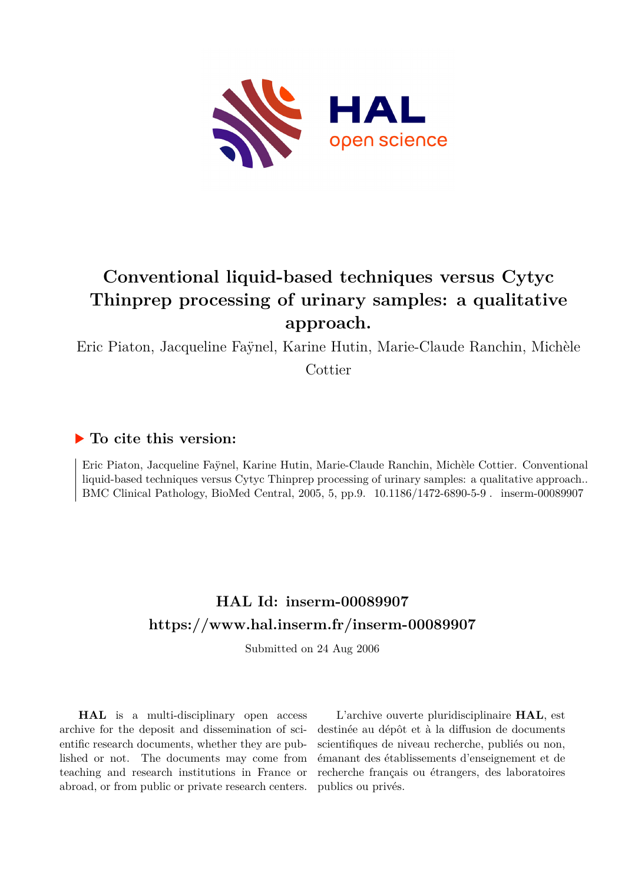

# **Conventional liquid-based techniques versus Cytyc Thinprep processing of urinary samples: a qualitative approach.**

Eric Piaton, Jacqueline Faÿnel, Karine Hutin, Marie-Claude Ranchin, Michèle Cottier

# **To cite this version:**

Eric Piaton, Jacqueline Faÿnel, Karine Hutin, Marie-Claude Ranchin, Michèle Cottier. Conventional liquid-based techniques versus Cytyc Thinprep processing of urinary samples: a qualitative approach.. BMC Clinical Pathology, BioMed Central, 2005, 5, pp.9.  $10.1186/1472-6890-5-9$ . inserm-00089907

# **HAL Id: inserm-00089907 <https://www.hal.inserm.fr/inserm-00089907>**

Submitted on 24 Aug 2006

**HAL** is a multi-disciplinary open access archive for the deposit and dissemination of scientific research documents, whether they are published or not. The documents may come from teaching and research institutions in France or abroad, or from public or private research centers.

L'archive ouverte pluridisciplinaire **HAL**, est destinée au dépôt et à la diffusion de documents scientifiques de niveau recherche, publiés ou non, émanant des établissements d'enseignement et de recherche français ou étrangers, des laboratoires publics ou privés.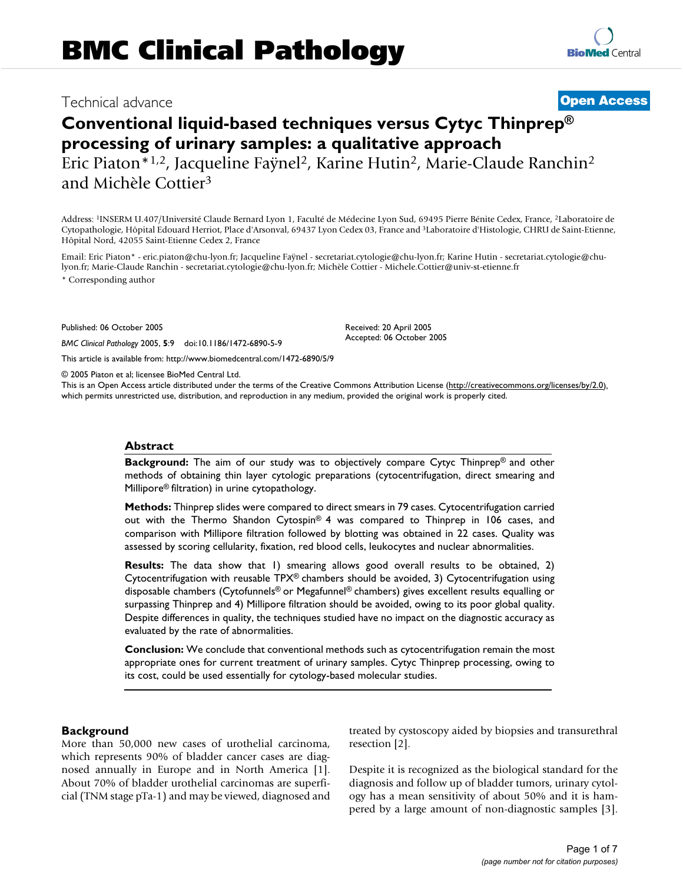# Technical advance **[Open Access](http://www.biomedcentral.com/info/about/charter/)**

# **Conventional liquid-based techniques versus Cytyc Thinprep® processing of urinary samples: a qualitative approach** Eric Piaton\*1,2, Jacqueline Faÿnel<sup>2</sup>, Karine Hutin<sup>2</sup>, Marie-Claude Ranchin<sup>2</sup> and Michèle Cottier<sup>3</sup>

Address: <sup>1</sup>INSERM U.407/Université Claude Bernard Lyon 1, Faculté de Médecine Lyon Sud, 69495 Pierre Bénite Cedex, France, <sup>2</sup>Laboratoire de Cytopathologie, Hôpital Edouard Herriot, Place d'Arsonval, 69437 Lyon Cedex 03, France and <sup>3</sup>Laboratoire d'Histologie, CHRU de Saint-Etienne, Hôpital Nord, 42055 Saint-Etienne Cedex 2, France

Email: Eric Piaton\* - eric.piaton@chu-lyon.fr; Jacqueline Faÿnel - secretariat.cytologie@chu-lyon.fr; Karine Hutin - secretariat.cytologie@chulyon.fr; Marie-Claude Ranchin - secretariat.cytologie@chu-lyon.fr; Michèle Cottier - Michele.Cottier@univ-st-etienne.fr

\* Corresponding author

Published: 06 October 2005

*BMC Clinical Pathology* 2005, **5**:9 doi:10.1186/1472-6890-5-9

[This article is available from: http://www.biomedcentral.com/1472-6890/5/9](http://www.biomedcentral.com/1472-6890/5/9)

© 2005 Piaton et al; licensee BioMed Central Ltd.

This is an Open Access article distributed under the terms of the Creative Commons Attribution License [\(http://creativecommons.org/licenses/by/2.0\)](http://creativecommons.org/licenses/by/2.0), which permits unrestricted use, distribution, and reproduction in any medium, provided the original work is properly cited.

Received: 20 April 2005 Accepted: 06 October 2005

#### **Abstract**

**Background:** The aim of our study was to objectively compare Cytyc Thinprep® and other methods of obtaining thin layer cytologic preparations (cytocentrifugation, direct smearing and Millipore® filtration) in urine cytopathology.

**Methods:** Thinprep slides were compared to direct smears in 79 cases. Cytocentrifugation carried out with the Thermo Shandon Cytospin® 4 was compared to Thinprep in 106 cases, and comparison with Millipore filtration followed by blotting was obtained in 22 cases. Quality was assessed by scoring cellularity, fixation, red blood cells, leukocytes and nuclear abnormalities.

**Results:** The data show that 1) smearing allows good overall results to be obtained, 2) Cytocentrifugation with reusable TPX® chambers should be avoided, 3) Cytocentrifugation using disposable chambers (Cytofunnels® or Megafunnel® chambers) gives excellent results equalling or surpassing Thinprep and 4) Millipore filtration should be avoided, owing to its poor global quality. Despite differences in quality, the techniques studied have no impact on the diagnostic accuracy as evaluated by the rate of abnormalities.

**Conclusion:** We conclude that conventional methods such as cytocentrifugation remain the most appropriate ones for current treatment of urinary samples. Cytyc Thinprep processing, owing to its cost, could be used essentially for cytology-based molecular studies.

#### **Background**

More than 50,000 new cases of urothelial carcinoma, which represents 90% of bladder cancer cases are diagnosed annually in Europe and in North America [1]. About 70% of bladder urothelial carcinomas are superficial (TNM stage pTa-1) and may be viewed, diagnosed and treated by cystoscopy aided by biopsies and transurethral resection [2].

Despite it is recognized as the biological standard for the diagnosis and follow up of bladder tumors, urinary cytology has a mean sensitivity of about 50% and it is hampered by a large amount of non-diagnostic samples [3].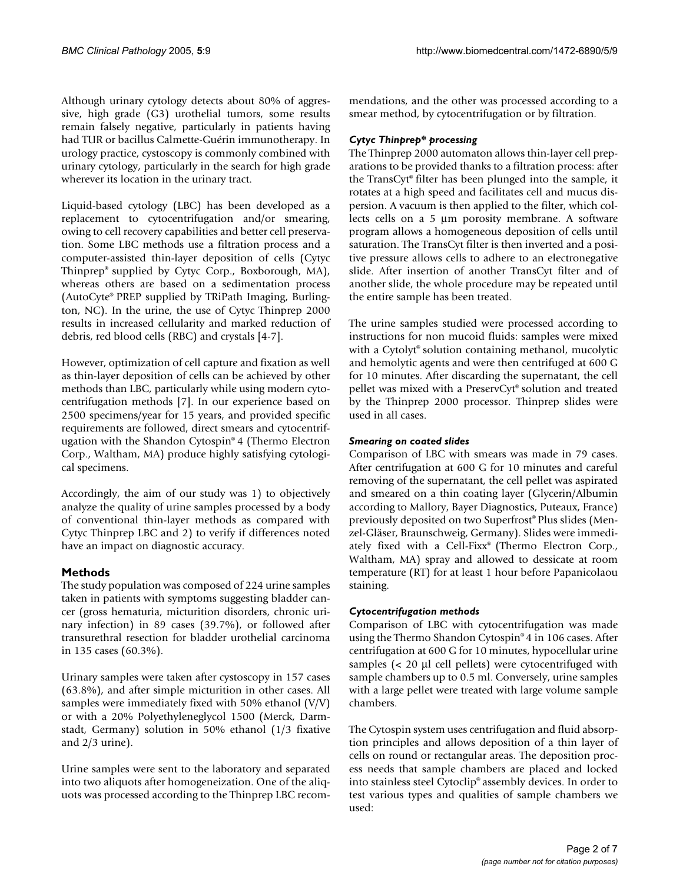Although urinary cytology detects about 80% of aggressive, high grade (G3) urothelial tumors, some results remain falsely negative, particularly in patients having had TUR or bacillus Calmette-Guérin immunotherapy. In urology practice, cystoscopy is commonly combined with urinary cytology, particularly in the search for high grade wherever its location in the urinary tract.

Liquid-based cytology (LBC) has been developed as a replacement to cytocentrifugation and/or smearing, owing to cell recovery capabilities and better cell preservation. Some LBC methods use a filtration process and a computer-assisted thin-layer deposition of cells (Cytyc Thinprep® supplied by Cytyc Corp., Boxborough, MA), whereas others are based on a sedimentation process (AutoCyte® PREP supplied by TRiPath Imaging, Burlington, NC). In the urine, the use of Cytyc Thinprep 2000 results in increased cellularity and marked reduction of debris, red blood cells (RBC) and crystals [4-7].

However, optimization of cell capture and fixation as well as thin-layer deposition of cells can be achieved by other methods than LBC, particularly while using modern cytocentrifugation methods [7]. In our experience based on 2500 specimens/year for 15 years, and provided specific requirements are followed, direct smears and cytocentrifugation with the Shandon Cytospin® 4 (Thermo Electron Corp., Waltham, MA) produce highly satisfying cytological specimens.

Accordingly, the aim of our study was 1) to objectively analyze the quality of urine samples processed by a body of conventional thin-layer methods as compared with Cytyc Thinprep LBC and 2) to verify if differences noted have an impact on diagnostic accuracy.

# **Methods**

The study population was composed of 224 urine samples taken in patients with symptoms suggesting bladder cancer (gross hematuria, micturition disorders, chronic urinary infection) in 89 cases (39.7%), or followed after transurethral resection for bladder urothelial carcinoma in 135 cases (60.3%).

Urinary samples were taken after cystoscopy in 157 cases (63.8%), and after simple micturition in other cases. All samples were immediately fixed with 50% ethanol (V/V) or with a 20% Polyethyleneglycol 1500 (Merck, Darmstadt, Germany) solution in 50% ethanol (1/3 fixative and 2/3 urine).

Urine samples were sent to the laboratory and separated into two aliquots after homogeneization. One of the aliquots was processed according to the Thinprep LBC recommendations, and the other was processed according to a smear method, by cytocentrifugation or by filtration.

### *Cytyc Thinprep\* processing*

The Thinprep 2000 automaton allows thin-layer cell preparations to be provided thanks to a filtration process: after the TransCyt® filter has been plunged into the sample, it rotates at a high speed and facilitates cell and mucus dispersion. A vacuum is then applied to the filter, which collects cells on a 5 µm porosity membrane. A software program allows a homogeneous deposition of cells until saturation. The TransCyt filter is then inverted and a positive pressure allows cells to adhere to an electronegative slide. After insertion of another TransCyt filter and of another slide, the whole procedure may be repeated until the entire sample has been treated.

The urine samples studied were processed according to instructions for non mucoid fluids: samples were mixed with a Cytolyt® solution containing methanol, mucolytic and hemolytic agents and were then centrifuged at 600 G for 10 minutes. After discarding the supernatant, the cell pellet was mixed with a PreservCyt® solution and treated by the Thinprep 2000 processor. Thinprep slides were used in all cases.

### *Smearing on coated slides*

Comparison of LBC with smears was made in 79 cases. After centrifugation at 600 G for 10 minutes and careful removing of the supernatant, the cell pellet was aspirated and smeared on a thin coating layer (Glycerin/Albumin according to Mallory, Bayer Diagnostics, Puteaux, France) previously deposited on two Superfrost® Plus slides (Menzel-Gläser, Braunschweig, Germany). Slides were immediately fixed with a Cell-Fixx® (Thermo Electron Corp., Waltham, MA) spray and allowed to dessicate at room temperature (RT) for at least 1 hour before Papanicolaou staining.

#### *Cytocentrifugation methods*

Comparison of LBC with cytocentrifugation was made using the Thermo Shandon Cytospin® 4 in 106 cases. After centrifugation at 600 G for 10 minutes, hypocellular urine samples (< 20 µl cell pellets) were cytocentrifuged with sample chambers up to 0.5 ml. Conversely, urine samples with a large pellet were treated with large volume sample chambers.

The Cytospin system uses centrifugation and fluid absorption principles and allows deposition of a thin layer of cells on round or rectangular areas. The deposition process needs that sample chambers are placed and locked into stainless steel Cytoclip® assembly devices. In order to test various types and qualities of sample chambers we used: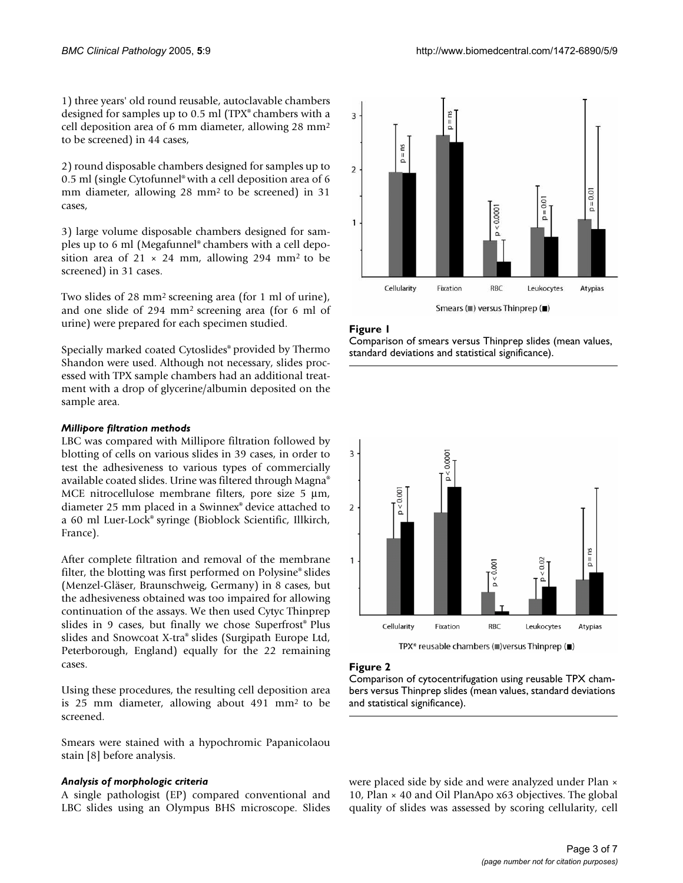1) three years' old round reusable, autoclavable chambers designed for samples up to 0.5 ml (TPX® chambers with a cell deposition area of 6 mm diameter, allowing 28 mm<sup>2</sup> to be screened) in 44 cases,

2) round disposable chambers designed for samples up to 0.5 ml (single Cytofunnel® with a cell deposition area of 6 mm diameter, allowing  $28 \text{ mm}^2$  to be screened) in  $31$ cases,

3) large volume disposable chambers designed for samples up to 6 ml (Megafunnel® chambers with a cell deposition area of 21  $\times$  24 mm, allowing 294 mm<sup>2</sup> to be screened) in 31 cases.

Two slides of 28 mm<sup>2</sup> screening area (for 1 ml of urine), and one slide of 294 mm<sup>2</sup>screening area (for 6 ml of urine) were prepared for each specimen studied.

Specially marked coated Cytoslides® provided by Thermo Shandon were used. Although not necessary, slides processed with TPX sample chambers had an additional treatment with a drop of glycerine/albumin deposited on the sample area.

## *Millipore filtration methods*

LBC was compared with Millipore filtration followed by blotting of cells on various slides in 39 cases, in order to test the adhesiveness to various types of commercially available coated slides. Urine was filtered through Magna® MCE nitrocellulose membrane filters, pore size 5  $\mu$ m, diameter 25 mm placed in a Swinnex® device attached to a 60 ml Luer-Lock® syringe (Bioblock Scientific, Illkirch, France).

After complete filtration and removal of the membrane filter, the blotting was first performed on Polysine® slides (Menzel-Gläser, Braunschweig, Germany) in 8 cases, but the adhesiveness obtained was too impaired for allowing continuation of the assays. We then used Cytyc Thinprep slides in 9 cases, but finally we chose Superfrost® Plus slides and Snowcoat X-tra® slides (Surgipath Europe Ltd, Peterborough, England) equally for the 22 remaining cases.

Using these procedures, the resulting cell deposition area is 25 mm diameter, allowing about  $491$  mm<sup>2</sup> to be screened.

Smears were stained with a hypochromic Papanicolaou stain [8] before analysis.

#### *Analysis of morphologic criteria*

A single pathologist (EP) compared conventional and LBC slides using an Olympus BHS microscope. Slides



#### Figure 1

Comparison of smears versus Thinprep slides (mean values, standard deviations and statistical significance).



TPX\* reusable chambers (■) versus Thinprep (■)

#### Figure 2

Comparison of cytocentrifugation using reusable TPX chambers versus Thinprep slides (mean values, standard deviations and statistical significance).

were placed side by side and were analyzed under Plan × 10, Plan × 40 and Oil PlanApo x63 objectives. The global quality of slides was assessed by scoring cellularity, cell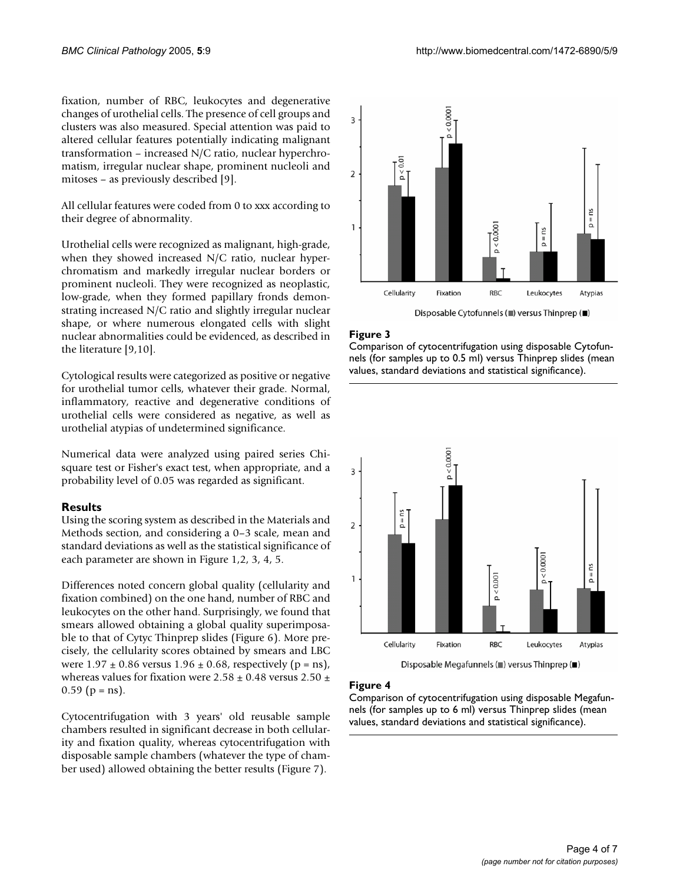fixation, number of RBC, leukocytes and degenerative changes of urothelial cells. The presence of cell groups and clusters was also measured. Special attention was paid to altered cellular features potentially indicating malignant transformation – increased N/C ratio, nuclear hyperchromatism, irregular nuclear shape, prominent nucleoli and mitoses – as previously described [9].

All cellular features were coded from 0 to xxx according to their degree of abnormality.

Urothelial cells were recognized as malignant, high-grade, when they showed increased N/C ratio, nuclear hyperchromatism and markedly irregular nuclear borders or prominent nucleoli. They were recognized as neoplastic, low-grade, when they formed papillary fronds demonstrating increased N/C ratio and slightly irregular nuclear shape, or where numerous elongated cells with slight nuclear abnormalities could be evidenced, as described in the literature [9,10].

Cytological results were categorized as positive or negative for urothelial tumor cells, whatever their grade. Normal, inflammatory, reactive and degenerative conditions of urothelial cells were considered as negative, as well as urothelial atypias of undetermined significance.

Numerical data were analyzed using paired series Chisquare test or Fisher's exact test, when appropriate, and a probability level of 0.05 was regarded as significant.

#### **Results**

Using the scoring system as described in the Materials and Methods section, and considering a 0–3 scale, mean and standard deviations as well as the statistical significance of each parameter are shown in Figure 1,2, [3](#page-4-0), [4](#page-4-1), [5](#page-5-0).

Differences noted concern global quality (cellularity and fixation combined) on the one hand, number of RBC and leukocytes on the other hand. Surprisingly, we found that smears allowed obtaining a global quality superimposable to that of Cytyc Thinprep slides (Figure 6). More precisely, the cellularity scores obtained by smears and LBC were  $1.97 \pm 0.86$  versus  $1.96 \pm 0.68$ , respectively (p = ns), whereas values for fixation were  $2.58 \pm 0.48$  versus  $2.50 \pm$  $0.59$  (p = ns).

Cytocentrifugation with 3 years' old reusable sample chambers resulted in significant decrease in both cellularity and fixation quality, whereas cytocentrifugation with disposable sample chambers (whatever the type of chamber used) allowed obtaining the better results (Figure 7).

<span id="page-4-0"></span>

# Figure 3

Comparison of cytocentrifugation using disposable Cytofunnels (for samples up to 0.5 ml) versus Thinprep slides (mean values, standard deviations and statistical significance).

<span id="page-4-1"></span>

Disposable Megafunnels ( $\blacksquare$ ) versus Thinprep ( $\blacksquare$ )

# Figure 4

Comparison of cytocentrifugation using disposable Megafunnels (for samples up to 6 ml) versus Thinprep slides (mean values, standard deviations and statistical significance).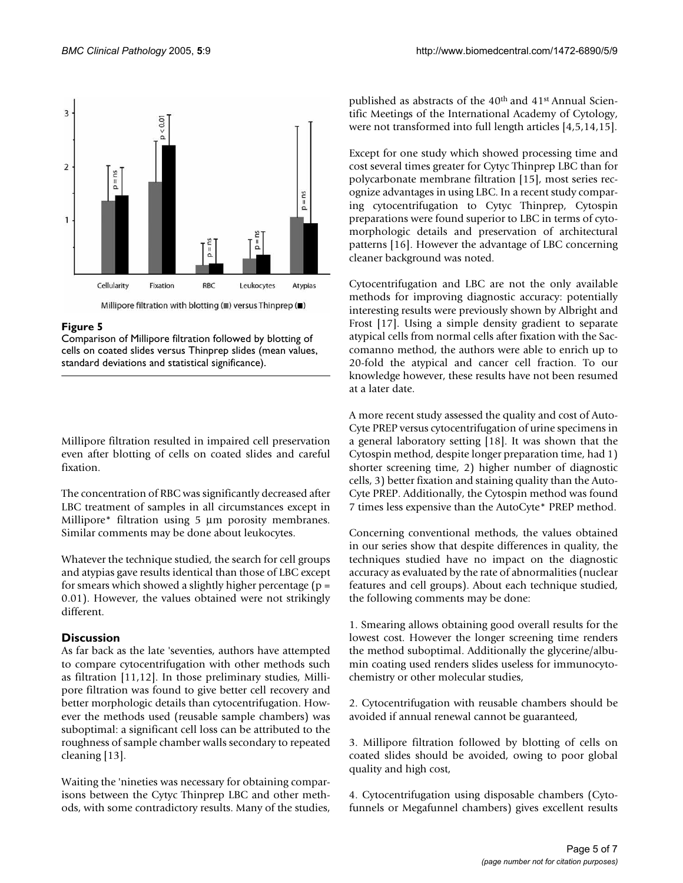<span id="page-5-0"></span>

#### Figure 5

Comparison of Millipore filtration followed by blotting of cells on coated slides versus Thinprep slides (mean values, standard deviations and statistical significance).

Millipore filtration resulted in impaired cell preservation even after blotting of cells on coated slides and careful fixation.

The concentration of RBC was significantly decreased after LBC treatment of samples in all circumstances except in Millipore\* filtration using 5  $\mu$ m porosity membranes. Similar comments may be done about leukocytes.

Whatever the technique studied, the search for cell groups and atypias gave results identical than those of LBC except for smears which showed a slightly higher percentage ( $p =$ 0.01). However, the values obtained were not strikingly different.

#### **Discussion**

As far back as the late 'seventies, authors have attempted to compare cytocentrifugation with other methods such as filtration [11,12]. In those preliminary studies, Millipore filtration was found to give better cell recovery and better morphologic details than cytocentrifugation. However the methods used (reusable sample chambers) was suboptimal: a significant cell loss can be attributed to the roughness of sample chamber walls secondary to repeated cleaning [13].

Waiting the 'nineties was necessary for obtaining comparisons between the Cytyc Thinprep LBC and other methods, with some contradictory results. Many of the studies,

published as abstracts of the 40<sup>th</sup> and 41<sup>st</sup> Annual Scientific Meetings of the International Academy of Cytology, were not transformed into full length articles [4,5,14,15].

Except for one study which showed processing time and cost several times greater for Cytyc Thinprep LBC than for polycarbonate membrane filtration [15], most series recognize advantages in using LBC. In a recent study comparing cytocentrifugation to Cytyc Thinprep, Cytospin preparations were found superior to LBC in terms of cytomorphologic details and preservation of architectural patterns [16]. However the advantage of LBC concerning cleaner background was noted.

Cytocentrifugation and LBC are not the only available methods for improving diagnostic accuracy: potentially interesting results were previously shown by Albright and Frost [17]. Using a simple density gradient to separate atypical cells from normal cells after fixation with the Saccomanno method, the authors were able to enrich up to 20-fold the atypical and cancer cell fraction. To our knowledge however, these results have not been resumed at a later date.

A more recent study assessed the quality and cost of Auto-Cyte PREP versus cytocentrifugation of urine specimens in a general laboratory setting [18]. It was shown that the Cytospin method, despite longer preparation time, had 1) shorter screening time, 2) higher number of diagnostic cells, 3) better fixation and staining quality than the Auto-Cyte PREP. Additionally, the Cytospin method was found 7 times less expensive than the AutoCyte\* PREP method.

Concerning conventional methods, the values obtained in our series show that despite differences in quality, the techniques studied have no impact on the diagnostic accuracy as evaluated by the rate of abnormalities (nuclear features and cell groups). About each technique studied, the following comments may be done:

1. Smearing allows obtaining good overall results for the lowest cost. However the longer screening time renders the method suboptimal. Additionally the glycerine/albumin coating used renders slides useless for immunocytochemistry or other molecular studies,

2. Cytocentrifugation with reusable chambers should be avoided if annual renewal cannot be guaranteed,

3. Millipore filtration followed by blotting of cells on coated slides should be avoided, owing to poor global quality and high cost,

4. Cytocentrifugation using disposable chambers (Cytofunnels or Megafunnel chambers) gives excellent results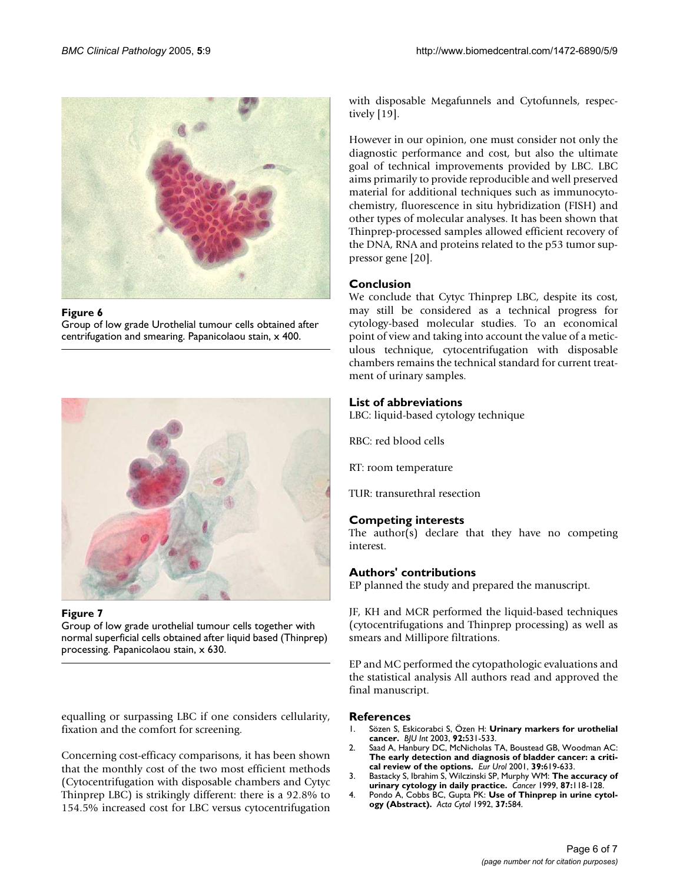

#### Figure 6

Group of low grade Urothelial tumour cells obtained after centrifugation and smearing. Papanicolaou stain, x 400.



#### Figure 7

Group of low grade urothelial tumour cells together with normal superficial cells obtained after liquid based (Thinprep) processing. Papanicolaou stain, x 630.

equalling or surpassing LBC if one considers cellularity, fixation and the comfort for screening.

Concerning cost-efficacy comparisons, it has been shown that the monthly cost of the two most efficient methods (Cytocentrifugation with disposable chambers and Cytyc Thinprep LBC) is strikingly different: there is a 92.8% to 154.5% increased cost for LBC versus cytocentrifugation with disposable Megafunnels and Cytofunnels, respectively [19].

However in our opinion, one must consider not only the diagnostic performance and cost, but also the ultimate goal of technical improvements provided by LBC. LBC aims primarily to provide reproducible and well preserved material for additional techniques such as immunocytochemistry, fluorescence in situ hybridization (FISH) and other types of molecular analyses. It has been shown that Thinprep-processed samples allowed efficient recovery of the DNA, RNA and proteins related to the p53 tumor suppressor gene [20].

## **Conclusion**

We conclude that Cytyc Thinprep LBC, despite its cost, may still be considered as a technical progress for cytology-based molecular studies. To an economical point of view and taking into account the value of a meticulous technique, cytocentrifugation with disposable chambers remains the technical standard for current treatment of urinary samples.

## **List of abbreviations**

LBC: liquid-based cytology technique

RBC: red blood cells

RT: room temperature

TUR: transurethral resection

#### **Competing interests**

The author(s) declare that they have no competing interest.

#### **Authors' contributions**

EP planned the study and prepared the manuscript.

JF, KH and MCR performed the liquid-based techniques (cytocentrifugations and Thinprep processing) as well as smears and Millipore filtrations.

EP and MC performed the cytopathologic evaluations and the statistical analysis All authors read and approved the final manuscript.

#### **References**

- 1. Sözen S, Eskicorabci S, Özen H: **[Urinary markers for urothelial](http://www.ncbi.nlm.nih.gov/entrez/query.fcgi?cmd=Retrieve&db=PubMed&dopt=Abstract&list_uids=14511027) [cancer.](http://www.ncbi.nlm.nih.gov/entrez/query.fcgi?cmd=Retrieve&db=PubMed&dopt=Abstract&list_uids=14511027)** *BJU Int* 2003, **92:**531-533.
- 2. Saad A, Hanbury DC, McNicholas TA, Boustead GB, Woodman AC: **[The early detection and diagnosis of bladder cancer: a criti](http://www.ncbi.nlm.nih.gov/entrez/query.fcgi?cmd=Retrieve&db=PubMed&dopt=Abstract&list_uids=11464050)[cal review of the options.](http://www.ncbi.nlm.nih.gov/entrez/query.fcgi?cmd=Retrieve&db=PubMed&dopt=Abstract&list_uids=11464050)** *Eur Urol* 2001, **39:**619-633.
- 3. Bastacky S, Ibrahim S, Wilczinski SP, Murphy WM: **[The accuracy of](http://www.ncbi.nlm.nih.gov/entrez/query.fcgi?cmd=Retrieve&db=PubMed&dopt=Abstract&list_uids=10385442) [urinary cytology in daily practice.](http://www.ncbi.nlm.nih.gov/entrez/query.fcgi?cmd=Retrieve&db=PubMed&dopt=Abstract&list_uids=10385442)** *Cancer* 1999, **87:**118-128.
- 4. Pondo A, Cobbs BC, Gupta PK: **Use of Thinprep in urine cytology (Abstract).** *Acta Cytol* 1992, **37:**584.